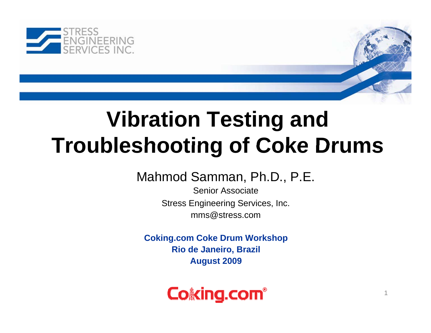

# **Vibration Testing and Troubleshooting of Coke Drums**

Mahmod Samman, Ph.D., P.E.

Senior AssociateStress Engineering Services, Inc. mms@stress.com

**Coking.com Coke Drum Workshop Rio de Janeiro, Brazil August 2009**

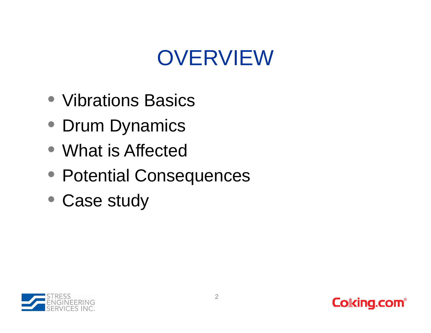# OVERVIEW

- Vibrations Basics
- Drum Dynamics
- What is Affected
- Potential Consequences
- Case study



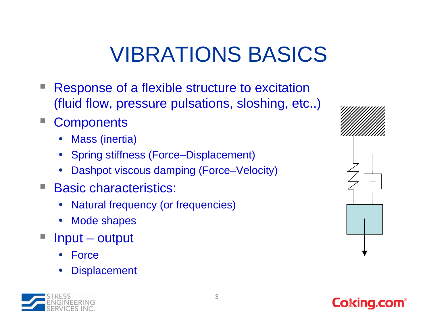# VIBRATIONS BASICS

- Response of a flexible structure to excitation (fluid flow, pressure pulsations, sloshing, etc..)
- **Components** 
	- •Mass (inertia)
	- •Spring stiffness (Force–Displacement)
	- •Dashpot viscous damping (Force–Velocity)
- Basic characteristics:
	- •Natural frequency (or frequencies)
	- $\bullet$ Mode shapes
- Input output
	- •Force
	- •**Displacement**





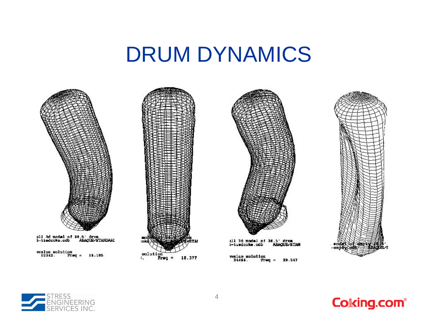#### DRUM DYNAMICS







111 3d model of 26.5' drum<br>5-tiedcoke.cdb ABAOUS/S **ABAQUS STAN** 

29.547





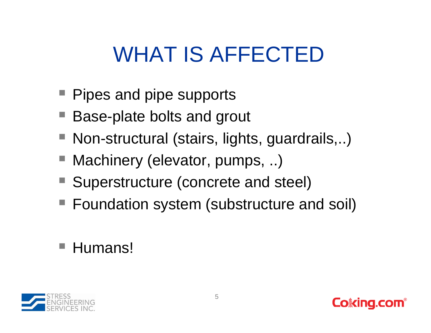# WHAT IS AFFECTED

- **Pipes and pipe supports**
- Base-plate bolts and grout
- Non-structural (stairs, lights, guardrails,..)
- Machinery (elevator, pumps, ..)
- Superstructure (concrete and steel)
- Foundation system (substructure and soil)

#### ■ Humans!

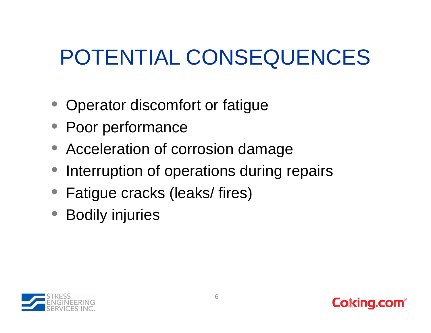# POTENTIAL CONSEQUENCES

- Operator discomfort or fatigue
- Poor performance
- Acceleration of corrosion damage
- Interruption of operations during repairs
- Fatigue cracks (leaks/ fires)
- Bodily injuries



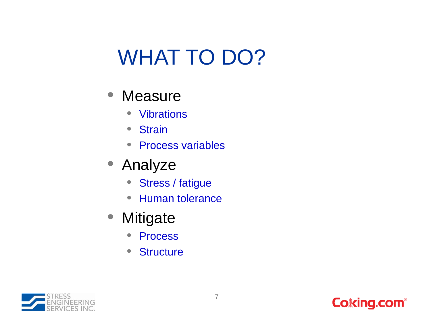# WHAT TO DO?

- Measure
	- $\bullet$ • Vibrations
	- $\bullet$ **Strain**
	- $\bullet$ • Process variables
- Analyze
	- $\bullet$ • Stress / fatigue
	- $\bullet$ Human tolerance
- Mitigate
	- $\bullet$ Process
	- $\bullet$ • Structure

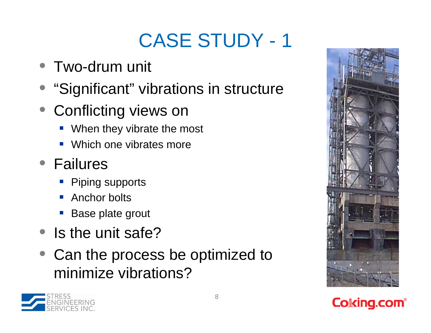### CASE STUDY - 1

- $\bullet\,$  Two-drum unit
- $\bullet$ "Significant" vibrations in structure
- Conflicting views on
	- When they vibrate the most
	- Which one vibrates more
- Failures
	- **Piping supports**
	- Anchor bolts
	- Base plate grout
- $\bullet$  Is the unit safe?
- Can the process be optimized to minimize vibrations?





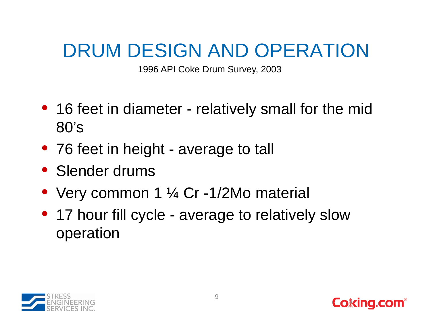#### DRUM DESIGN AND OPERATION

1996 API Coke Drum Survey, 2003

- 16 feet in diameter relatively small for the mid 80's
- 76 feet in height average to tall
- Slender drums
- Very common 1 ¼ Cr -1/2Mo material
- 17 hour fill cycle average to relatively slow operation



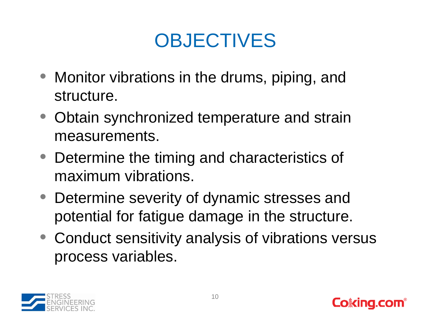#### **OBJECTIVES**

- Monitor vibrations in the drums, piping, and structure.
- Obtain synchronized temperature and strain measurements.
- Determine the timing and characteristics of maximum vibrations.
- Determine severity of dynamic stresses and potential for fatigue damage in the structure.
- Conduct sensitivity analysis of vibrations versus process variables.



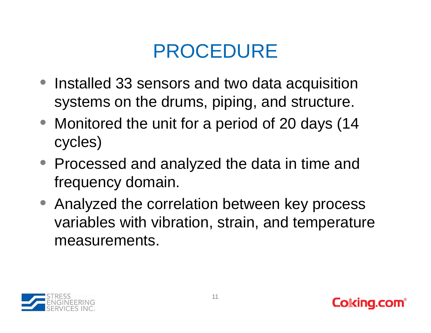#### PROCEDURE

- Installed 33 sensors and two data acquisition systems on the drums, piping, and structure.
- Monitored the unit for a period of 20 days (14 cycles)
- Processed and analyzed the data in time and frequency domain.
- Analyzed the correlation between key process variables with vibration, strain, and temperature measurements.



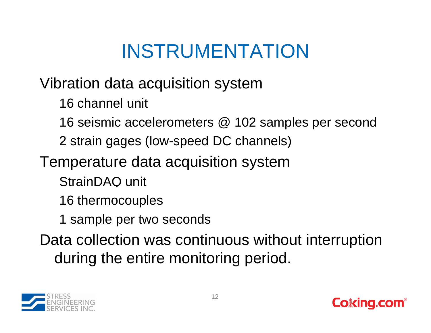### INSTRUMENTATION

Vibration data acquisition system

16 channel unit

16 seismic accelerometers @ 102 samples per second

2 strain gages (low-speed DC channels)

Temperature data acquisition system

StrainDAQ unit

16 thermocouples

1 sample per two seconds

Data collection was continuous without interruption during the entire monitoring period.



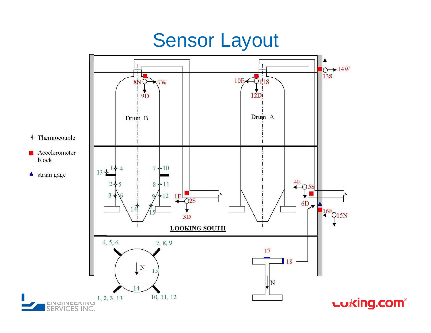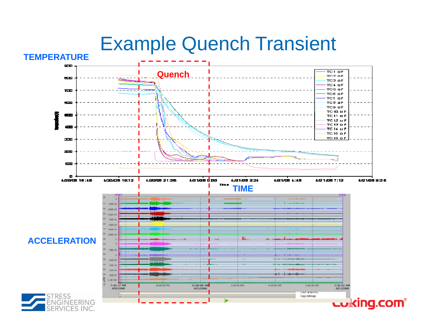# **EXample Quench Transient**

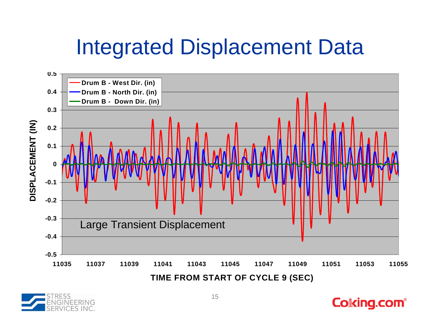# Integrated Displacement Data



**TIME FROM START OF CYCLE 9 (SEC)**

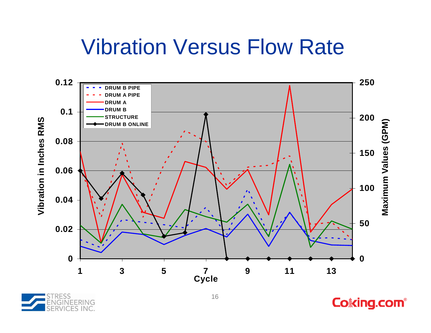#### Vibration Versus Flow Rate





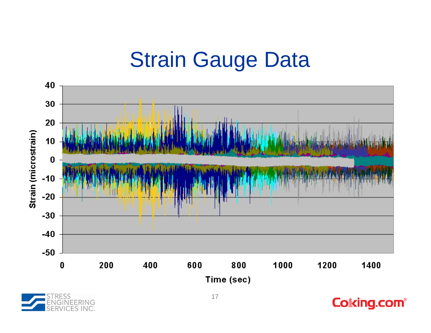### **Strain Gauge Data**





**Coking.com®**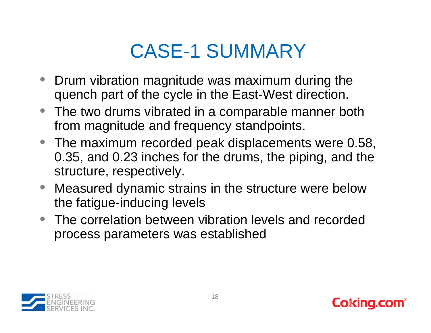#### CASE-1 SUMMARY

- Drum vibration magnitude was maximum during the quench part of the cycle in the East-West direction.
- The two drums vibrated in a comparable manner both from magnitude and frequency standpoints.
- The maximum recorded peak displacements were 0.58, 0.35, and 0.23 inches for the drums, the piping, and the structure, respectively.
- $\bullet$  Measured dynamic strains in the structure were below the fatigue-inducing levels
- The correlation between vibration levels and recorded process parameters was established



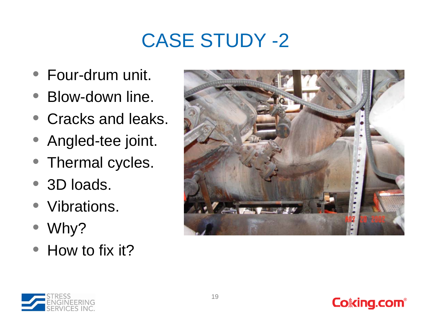### CASE STUDY -2

- Four-drum unit.
- Blow-down line.
- Cracks and leaks.
- Angled-tee joint.
- Thermal cycles.
- 3D loads.
- $\bullet$ Vibrations.
- Why?
- How to fix it?



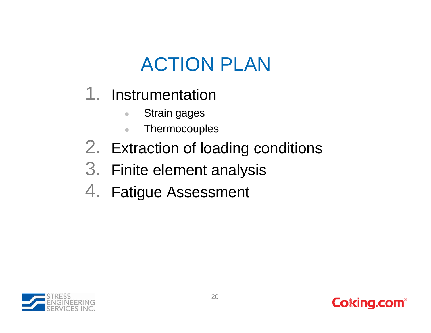#### ACTION PLAN

- 1. Instrumentation
	- $\begin{array}{c} \bullet \\ \bullet \end{array}$ Strain gages
	- $\bullet$ **Thermocouples**
- 2. Extraction of loading conditions
- 3. Finite element analysis
- 4. Fatigue Assessment



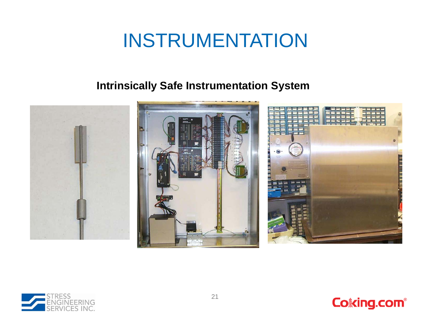#### INSTRUMENTATION

#### **Intrinsically Safe Instrumentation System**





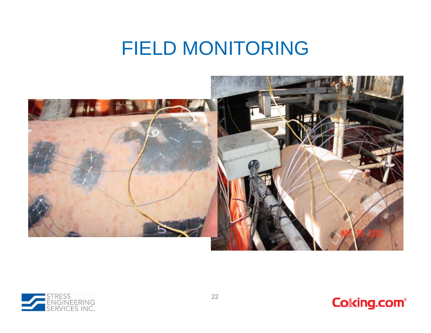#### FIELD MONITORING





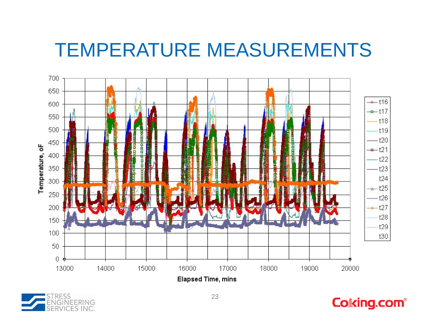#### TEMPERATURE MEASUREMENTS





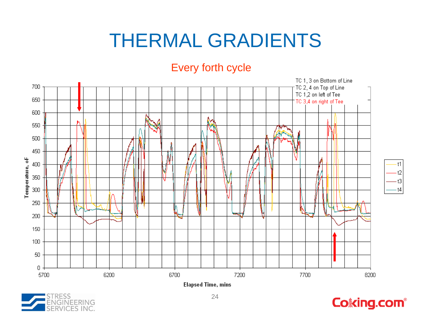#### THERMAL GRADIENTS

#### Every forth cycle





 $t1$  $t2$ 

 $t3$  $-t4$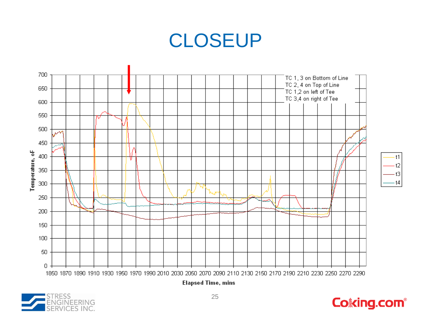#### CLOSEUP





 $t2$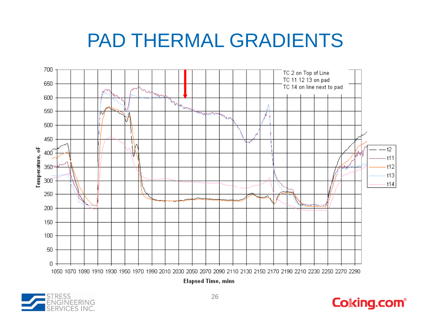#### PAD THERMAL GRADIENTS





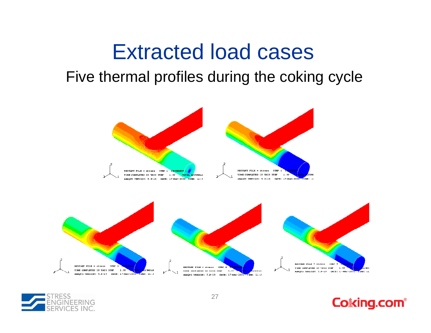#### Extracted load cases

#### Five thermal profiles during the coking cycle





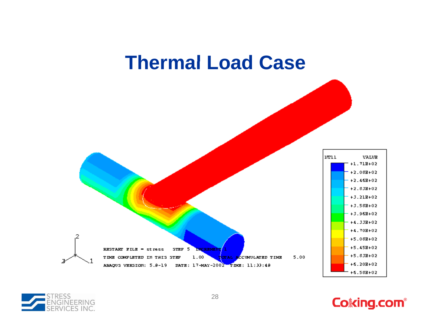



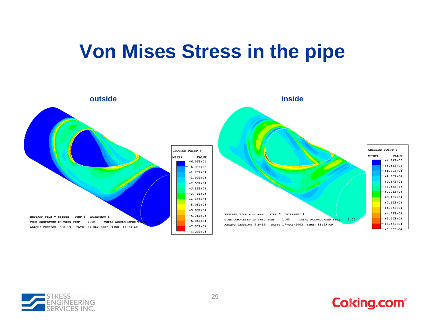#### **Von Mises Stress in the pipe**





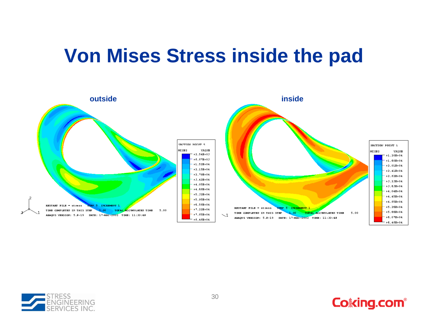#### **Von Mises Stress inside the pad**





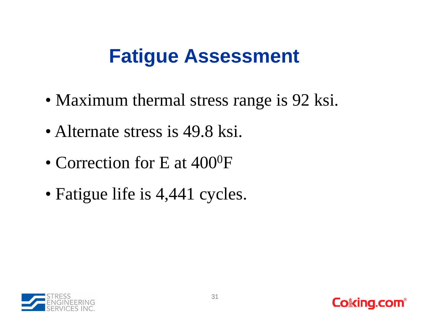#### **Fatigue Assessment Fatigue**

- Maximum thermal stress range is 92 ksi.
- Alternate stress is 49.8 ksi.
- Correction for E at  $400^0$ F
- Fati gue life is 4,441 c ycles.



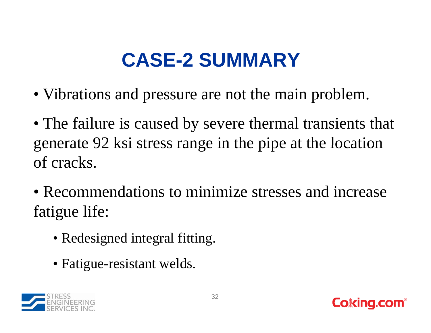# **CASE-2 SUMMARY 2**

- Vibrations and pressure are not the main problem.
- The failure is caused by severe thermal transients that generate 92 ksi stress range in the pipe at the location of cracks.
- Recommendations to minimize stresses and increase fatigue life:
	- Redesigned integral fitting.
	- Fatigue-resistant welds.